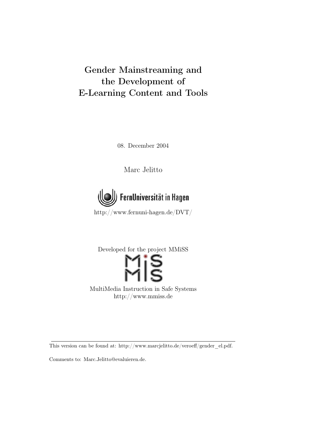# Gender Mainstreaming and the Development of E-Learning Content and Tools

08. December 2004

Marc Jelitto



<http://www.fernuni-hagen.de/DVT/>

Developed for the project MMiSS MultiMedia Instruction in Safe Systems

[http://www.mmiss.de](http://www.mmiss.de/)

This version can be found at: [http://www.marcjelitto.de/veroeff/gender\\_el.pdf.](http://www.marcjelitto.de/veroeff/gender_el.pdf)

Comments to: [Marc.Jelitto@evaluieren.de.](mailto:Marc.Jelitto@evaluieren.de)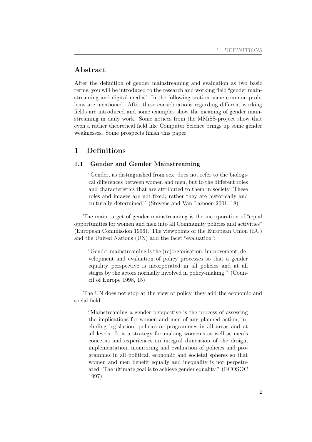# Abstract

After the definition of gender mainstreaming and evaluation as two basic terms, you will be introduced to the research and working field "gender mainstreaming and digital media". In the following section some common problems are mentioned. After these considerations regarding different working fields are introduced and some examples show the meaning of gender mainstreaming in daily work. Some notices from the MMiSS-project show that even a rather theoretical field like Computer Science brings up some gender weaknesses. Some prospects finish this paper.

# 1 Definitions

### 1.1 Gender and Gender Mainstreaming

"Gender, as distinguished from sex, does not refer to the biological differences between women and men, but to the different roles and characteristics that are attributed to them in society. These roles and images are not fixed; rather they are historically and culturally determined." (Stevens and Van Lamoen 2001, 18)

The main target of gender mainstreaming is the incorporation of "equal opportunities for women and men into all Community policies and activities" (European Commission 1996). The viewpoints of the European Union (EU) and the United Nations (UN) add the facet "evaluation":

"Gender mainstreaming is the (re)organisation, improvement, development and evaluation of policy processes so that a gender equality perspective is incorporated in all policies and at all stages by the actors normally involved in policy-making." (Council of Europe 1998, 15)

The UN does not stop at the view of policy, they add the economic and social field:

"Mainstreaming a gender perspective is the process of assessing the implications for women and men of any planned action, including legislation, policies or programmes in all areas and at all levels. It is a strategy for making women's as well as men's concerns and experiences an integral dimension of the design, implementation, monitoring and evaluation of policies and programmes in all political, economic and societal spheres so that women and men benefit equally and inequality is not perpetuated. The ultimate goal is to achieve gender equality." (ECOSOC 1997)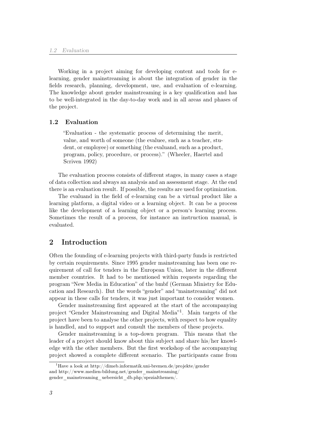Working in a project aiming for developing content and tools for elearning, gender mainstreaming is about the integration of gender in the fields research, planning, development, use, and evaluation of e-learning. The knowledge about gender mainstreaming is a key qualification and has to be well-integrated in the day-to-day work and in all areas and phases of the project.

#### 1.2 Evaluation

"Evaluation - the systematic process of determining the merit, value, and worth of someone (the evaluee, such as a teacher, student, or employee) or something (the evaluand, such as a product, program, policy, procedure, or process)." (Wheeler, Haertel and Scriven 1992)

The evaluation process consists of different stages, in many cases a stage of data collection and always an analysis and an assessment stage. At the end there is an evaluation result. If possible, the results are used for optimization.

The evaluand in the field of e-learning can be a virtual product like a learning platform, a digital video or a learning object. It can be a process like the development of a learning object or a person's learning process. Sometimes the result of a process, for instance an instruction manual, is evaluated.

## 2 Introduction

Often the founding of e-learning projects with third-party funds is restricted by certain requirements. Since 1995 gender mainstreaming has been one requirement of call for tenders in the European Union, later in the different member countries. It had to be mentioned within requests regarding the program "New Media in Education" of the bmbf (German Ministry for Education and Research). But the words "gender" and "mainstreaming" did not appear in these calls for tenders, it was just important to consider women.

Gender mainstreaming first appeared at the start of the accompanying project "Gender Mainstreaming and Digital Media"[1](#page-2-0) . Main targets of the project have been to analyse the other projects, with respect to how equality is handled, and to support and consult the members of these projects.

Gender mainstreaming is a top-down program. This means that the leader of a project should know about this subject and share his/her knowledge with the other members. But the first workshop of the accompanying project showed a complete different scenario. The participants came from

<span id="page-2-0"></span><sup>&</sup>lt;sup>1</sup>Have a look at <http://dimeb.informatik.uni-bremen.de/projekte/gender> and [http://www.medien-bildung.net/gender\\_mainstreaming/](http://www.medien-bildung.net/gender_mainstreaming/gender_mainstreaming_uebersicht_db.php/spezialthemen/) [gender\\_mainstreaming\\_uebersicht\\_db.php/spezialthemen/.](http://www.medien-bildung.net/gender_mainstreaming/gender_mainstreaming_uebersicht_db.php/spezialthemen/)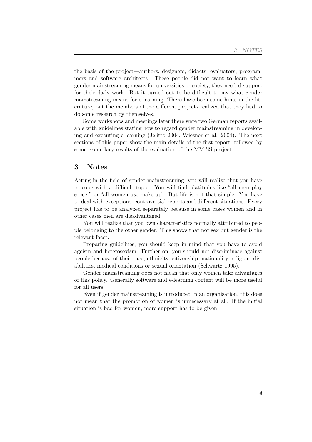the basis of the project—authors, designers, didacts, evaluators, programmers and software architects. These people did not want to learn what gender mainstreaming means for universities or society, they needed support for their daily work. But it turned out to be difficult to say what gender mainstreaming means for e-learning. There have been some hints in the literature, but the members of the different projects realized that they had to do some research by themselves.

Some workshops and meetings later there were two German reports available with guidelines stating how to regard gender mainstreaming in developing and executing e-learning (Jelitto 2004, Wiesner et al. 2004). The next sections of this paper show the main details of the first report, followed by some exemplary results of the evaluation of the MMiSS project.

## 3 Notes

Acting in the field of gender mainstreaming, you will realize that you have to cope with a difficult topic. You will find platitudes like "all men play soccer" or "all women use make-up". But life is not that simple. You have to deal with exceptions, controversial reports and different situations. Every project has to be analyzed separately because in some cases women and in other cases men are disadvantaged.

You will realize that you own characteristics normally attributed to people belonging to the other gender. This shows that not sex but gender is the relevant facet.

Preparing guidelines, you should keep in mind that you have to avoid ageism and heterosexism. Further on, you should not discriminate against people because of their race, ethnicity, citizenship, nationality, religion, disabilities, medical conditions or sexual orientation (Schwartz 1995).

Gender mainstreaming does not mean that only women take advantages of this policy. Generally software and e-learning content will be more useful for all users.

Even if gender mainstreaming is introduced in an organisation, this does not mean that the promotion of women is unnecessary at all. If the initial situation is bad for women, more support has to be given.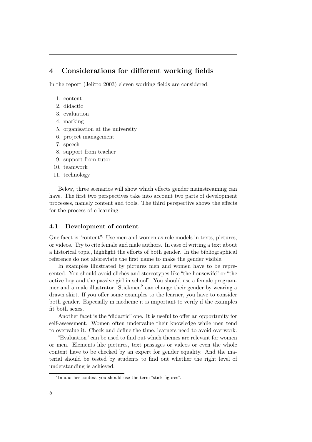# 4 Considerations for different working fields

In the report (Jelitto 2003) eleven working fields are considered.

- 1. content
- 2. didactic
- 3. evaluation
- 4. marking
- 5. organisation at the university
- 6. project management
- 7. speech
- 8. support from teacher
- 9. support from tutor
- 10. teamwork
- 11. technology

Below, three scenarios will show which effects gender mainstreaming can have. The first two perspectives take into account two parts of development processes, namely content and tools. The third perspective shows the effects for the process of e-learning.

#### 4.1 Development of content

One facet is "content": Use men and women as role models in texts, pictures, or videos. Try to cite female and male authors. In case of writing a text about a historical topic, highlight the efforts of both gender. In the bibliographical reference do not abbreviate the first name to make the gender visible.

In examples illustrated by pictures men and women have to be represented. You should avoid clichés and stereotypes like "the housewife" or "the active boy and the passive girl in school". You should use a female program-mer and a male illustrator. Stickmen<sup>[2](#page-4-0)</sup> can change their gender by wearing a drawn skirt. If you offer some examples to the learner, you have to consider both gender. Especially in medicine it is important to verify if the examples fit both sexes.

Another facet is the "didactic" one. It is useful to offer an opportunity for self-assessment. Women often undervalue their knowledge while men tend to overvalue it. Check and define the time, learners need to avoid overwork.

"Evaluation" can be used to find out which themes are relevant for women or men. Elements like pictures, text passages or videos or even the whole content have to be checked by an expert for gender equality. And the material should be tested by students to find out whether the right level of understanding is achieved.

<span id="page-4-0"></span><sup>&</sup>lt;sup>2</sup>In another context you should use the term "stick-figures".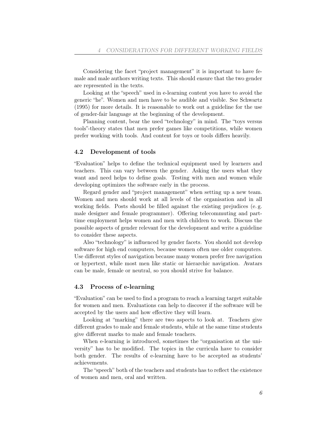Considering the facet "project management" it is important to have female and male authors writing texts. This should ensure that the two gender are represented in the texts.

Looking at the "speech" used in e-learning content you have to avoid the generic "he". Women and men have to be audible and visible. See Schwartz (1995) for more details. It is reasonable to work out a guideline for the use of gender-fair language at the beginning of the development.

Planning content, bear the used "technology" in mind. The "toys versus tools"-theory states that men prefer games like competitions, while women prefer working with tools. And content for toys or tools differs heavily.

#### 4.2 Development of tools

"Evaluation" helps to define the technical equipment used by learners and teachers. This can vary between the gender. Asking the users what they want and need helps to define goals. Testing with men and women while developing optimizes the software early in the process.

Regard gender and "project management" when setting up a new team. Women and men should work at all levels of the organisation and in all working fields. Posts should be filled against the existing prejudices (e. g. male designer and female programmer). Offering telecommuting and parttime employment helps women and men with children to work. Discuss the possible aspects of gender relevant for the development and write a guideline to consider these aspects.

Also "technology" is influenced by gender facets. You should not develop software for high end computers, because women often use older computers. Use different styles of navigation because many women prefer free navigation or hypertext, while most men like static or hierarchic navigation. Avatars can be male, female or neutral, so you should strive for balance.

#### 4.3 Process of e-learning

"Evaluation" can be used to find a program to reach a learning target suitable for women and men. Evaluations can help to discover if the software will be accepted by the users and how effective they will learn.

Looking at "marking" there are two aspects to look at. Teachers give different grades to male and female students, while at the same time students give different marks to male and female teachers.

When e-learning is introduced, sometimes the "organisation at the university" has to be modified. The topics in the curricula have to consider both gender. The results of e-learning have to be accepted as students' achievements.

The "speech" both of the teachers and students has to reflect the existence of women and men, oral and written.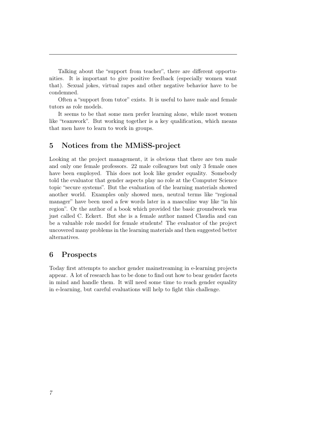Talking about the "support from teacher", there are different opportunities. It is important to give positive feedback (especially women want that). Sexual jokes, virtual rapes and other negative behavior have to be condemned.

Often a "support from tutor" exists. It is useful to have male and female tutors as role models.

It seems to be that some men prefer learning alone, while most women like "teamwork". But working together is a key qualification, which means that men have to learn to work in groups.

## 5 Notices from the MMiSS-project

Looking at the project management, it is obvious that there are ten male and only one female professors. 22 male colleagues but only 3 female ones have been employed. This does not look like gender equality. Somebody told the evaluator that gender aspects play no role at the Computer Science topic "secure systems". But the evaluation of the learning materials showed another world. Examples only showed men, neutral terms like "regional manager" have been used a few words later in a masculine way like "in his region". Or the author of a book which provided the basic groundwork was just called C. Eckert. But she is a female author named Claudia and can be a valuable role model for female students! The evaluator of the project uncovered many problems in the learning materials and then suggested better alternatives.

## 6 Prospects

Today first attempts to anchor gender mainstreaming in e-learning projects appear. A lot of research has to be done to find out how to bear gender facets in mind and handle them. It will need some time to reach gender equality in e-learning, but careful evaluations will help to fight this challenge.